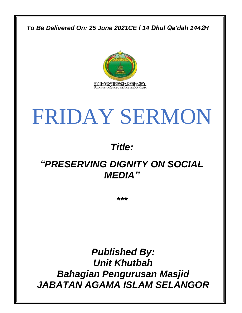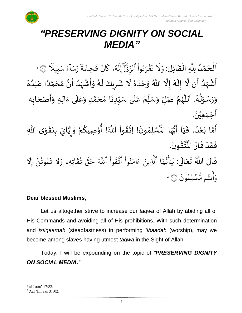

# *"PRESERVING DIGNITY ON SOCIAL MEDIA"*

 $\frac{1}{2}$ ن<br>ا اَلْحَمْدُ لِلَّهِ الْقَائِل: ُ<br>ُ' ْ  $\overline{\phantom{a}}$ ْ  $\overline{\phantom{a}}$  $\frac{1}{2}$ ْ َ ل ِ<br>ہ و وا ب ْ ُو ِ قْرَ  $\ddot{\ddot{\mathbf{3}}}$  $\ddot{\cdot}$ تَقَرَبُواْ ٱلزِّنَّ  $\ddot{\cdot}$ ِ<br>ن ں<br>\* لزَّنِّي إِنَّهُ و<br>لم ىيە<br>ب إِنَّهُو ֦֧֦<br>֡֡֜֜֜֜֜֜֜֜֜֜֜֜֜֜֜֜֜֜֜֜֜<br>׀ بِيلا ِ<br>س سک َ<br>ء ء ر<br>آ ا ِ<br>س بر<br>سد ِرِ و ֦֧֧֧֧֧֝֟֓֕֓֝֓֝֓֝֓֝֓<br>֧֧֧֧֧֧֧֧֧֝֬֝֓֝֬֓֝֬֟֓֝֬֟֓֝ ة  $\tilde{\cdot}$ ِّحش َٰ  $\ddot{\cdot}$ ف .<br>? ن كَانَ فَـُحِشَةً وَسَاّءَ سَبِيلًا (٣) ا ۠<br>ؙ أَشْهَدُ أَنْ لَّا إِلَهَ إِلَّا اللَّهُ وَحْدَهُ لَا شَرِيكَ لَهُ وَأَشْهَدُ أَنَّ مُحَمَّدًا عَبْدُهُ  $\ddot{\phantom{0}}$ ِ<br>ا ً<br>زار<br>ما ۠<br>۠  $\ddot{\phantom{0}}$ ر<br>پنج ์<br>-<br>4  $\tilde{\mathbf{r}}$  $\frac{1}{2}$ ِ<br>الح ፟<br>፞  $\frac{1}{1}$  $\frac{1}{2}$ ء<br>أ ๋<br>፞ ِ<br>ا ់<br>រ .<br>م ً<br>ا ั<br>ถ ๋<br>ጎ َ  $\ddot{\phantom{0}}$ ِ<br>ُا ً<br>زار<br>د ْ سہ<br>تہ  $\tilde{\cdot}$ ِ<br>ر  $\mathbf{r}$  $\sum$ ે<br>ક્ર وَرَسُوْلُهُ. اَللَّهُمَّ صَلِّ وَسَلِّمْ عَلَى سَيِّدِنَا مُحَمَّدٍ وَعَلَى ءَالِهِ وَأَصْحَابِه ِّ  $\overline{r}$  $\frac{1}{2}$ ั้<br>จ ر<br>ر<br>ر ً<br>ا  $\overline{a}$ ر<br>م ይ<br>የ ֦֧֦֧֦֧<u>֦</u> ر<br>ر<br>ر  $\frac{1}{2}$  $\frac{1}{2}$ ً<br>آ ِ<br>م  $\frac{1}{2}$ <u>لم</u> ั<br>ว ๋<br>ጎ ا<br>با ِّ  $\frac{1}{2}$  $\frac{1}{2}$ ً<br>آ ِ<br>م  $\ddot{\phantom{0}}$  $\overline{\phantom{a}}$  $\ddot{\phantom{0}}$  $\tilde{\cdot}$  $\ddot{\phantom{0}}$ أَجْمَع<u>ِيْن</u>َ. ់<br>|<br>|  $\frac{1}{2}$ ֧֧֧֧֧֦֝֟֟֟֟֟֟֟֟֟֟֟֟֟֟֟֕֓֕֓֕֕֓֕֓֕֓֕֓֕֓֕֓֕֝֟֓֟֓֝֟֓֟֓֟֓֕֝֟֓֟֓֟֓֝֟֓֝֬֟ .<br>أَمَّا بَعْدُ، فَيَا أَيُّهَا الْمُسْلِمُونَ! اِتَّقُواْ اللَّهَ! أُوْصِيكُمْ وَإِيَّايَ بِتَقْوَى اللَّهِ  $\frac{1}{1}$  $\ddot{\cdot}$ ر<br>ا ំ<br>។  $\ddot{\cdot}$ ี<br>วั  $\frac{1}{2}$  $\frac{1}{2}$  $\ddot{\phantom{0}}$ ֦֧֦֧֦֧֦֧֦֧֦֧֦֧֦֧֦֧֦֧֦֧֦֧֦֧<br>**֧**  $\ddot{\phantom{0}}$  $\frac{1}{2}$ َ |<br>;<br>;  $\tilde{\cdot}$ <u>ل</u> ٝ<br>ؙ ُ<br>مان<br>ا ់<br>ព្ ُ<br>ُ  $\frac{1}{2}$  $\ddot{\phantom{0}}$ ›<br>ጎ مَّهَا الْمُأْ ِ<br>مَا<br>مرا <sup>ب</sup>ُ<br>• .  $\ddot{\phantom{0}}$ ؾڤۅڹؘ  $\frac{1}{2}$ ا<br>أبقا ُ<br>ا فَقَدْ فَازَ الْمُ  $\ddot{\cdot}$  $\ddot{\cdot}$ ْ  $\frac{1}{2}$  $\ddot{\cdot}$ قَالَ اللَّهُ تَعَالَى: يَ ً<br>الم َ  $\ddot{\phantom{0}}$  $\ddot{\mathbf{r}}$ َٰ يَايَّهَا ِ<br>م ه و<br>د ت<br>ڊ ِ<br>ج ي<br>أَيُّهَا ٱلَّذِينَ لَّذِينَ ِ<br>م ام َ<br>ء ءَامَنُوا آتَقُوا ْ ُو ْ ور ِ<br>په تَّقُوا ا ہے<br>آکھ للَّهَ حَقَّ تُقَاتِهِ  $\ddot{\mathbf{r}}$ يَّةَ و<br>به ىر<br>بە قی  $\tilde{\phantom{a}}$ حَقَّ ثَقَاتِهِۦ  $\frac{1}{\alpha}$ وَلَا تَمُوثُنَّ إِ  $\ddot{\phantom{0}}$ مُوتَنَّ و<br>به و<br>م  $\ddot{\cdot}$ تَمُوثُنَّ إِلَّا ِ<br>الإ

.<br>\* ر<br>مَّسۡلِمُونَ و نتُم مَّ و<br>به ِ<br>ج أ ر<br>م وَانْتُم مُّسۡلِمُونَ ۞ ۚ

# **Dear blessed Muslims,**

Let us altogether strive to increase our *taqwa* of Allah by abiding all of His Commands and avoiding all of His prohibitions. With such determination and *istiqaamah* (steadfastness) in performing *'ibaadah* (worship), may we become among slaves having utmost *taqwa* in the Sight of Allah.

Today, I will be expounding on the topic of *"PRESERVING DIGNITY ON SOCIAL MEDIA."*

<sup>&</sup>lt;sup>1</sup> al-Israa' 17:32.

<sup>2</sup> Aal 'Imraan 3:102.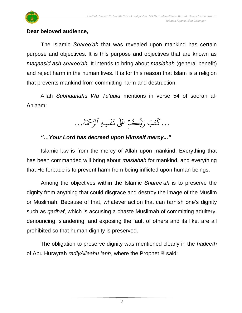

### **Dear beloved audience,**

The Islamic *Sharee'ah* that was revealed upon mankind has certain purpose and objectives. It is this purpose and objectives that are known as *maqaasid ash-sharee'ah*. It intends to bring about *maslahah* (general benefit) and reject harm in the human lives. It is for this reason that Islam is a religion that prevents mankind from committing harm and destruction.

Allah *Subhaanahu Wa Ta'aala* mentions in verse 54 of soorah al-An'aam:

> ... كَتَبَ رَبُّكُمْ عَلَىٰ نَفْسِهِ  $\ddot{\cdot}$  $\ddot{\cdot}$ يُّڪُمْ عَلَىٰ ذَ َٰ  $\ddot{\phantom{a}}$ و ِ ر بَ َ ت ر<br>م كَتَبَ رَبُّكُمْ عَلَىٰ نَفۡسِهِ ا  $\tilde{\mathbf{r}}$ ة م<br>ح لرَّحْمَةَ...

# *"…Your Lord has decreed upon Himself mercy..."*

Islamic law is from the mercy of Allah upon mankind. Everything that has been commanded will bring about *maslahah* for mankind, and everything that He forbade is to prevent harm from being inflicted upon human beings.

Among the objectives within the Islamic *Sharee'ah* is to preserve the dignity from anything that could disgrace and destroy the image of the Muslim or Muslimah. Because of that, whatever action that can tarnish one's dignity such as *qadhaf*, which is accusing a chaste Muslimah of committing adultery, denouncing, slandering, and exposing the fault of others and its like, are all prohibited so that human dignity is preserved.

The obligation to preserve dignity was mentioned clearly in the *hadeeth* of Abu Hurayrah *radiyAllaahu 'anh*, where the Prophet  $\ddot{\mathcal{E}}$  said: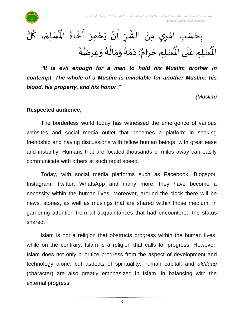

 $\ddot{\phantom{0}}$ .<br>بِحَسْبِ امْرِئٍ مِنَ الشَّرِّ أَنْ يَحْقِرَ أَخَاهُ الْمُسْلِمَ، كُلُّ י<br>י  $\overline{\phantom{a}}$ ِ<br>م  $\frac{1}{2}$ الشَّرِّ أَنْ يَحْقِرَ أَخَاهُ الْمُ بر<br>▲  $\ddot{\phantom{0}}$  $\frac{1}{2}$  $\frac{1}{2}$ ْ  $\ddot{\phantom{0}}$ ْ  $\frac{1}{2}$ ِّ ر ن<br>په د<br>گر .<br>: دَمُهُ وَمَالُهُ وَعِرْضُهُ ُ  $\frac{1}{2}$ د<br>گ  $\ddot{\hat{r}}$  $\frac{1}{2}$  $\frac{1}{2}$ :<br>م  $\frac{1}{2}$  $\sim$  $\overset{\circ}{\blacktriangle}$ رِحِ رَامٌ<br>لْمُسْلِمٍ حَرَامٌ  $\frac{1}{2}$  $\overline{\phantom{a}}$ ز<br>لْمُسْلِمٍ عَلَى الْمُ  $\overline{\mathbf{a}}$  $\frac{1}{2}$ اْل

*"It is evil enough for a man to hold his Muslim brother in contempt. The whole of a Muslim is inviolable for another Muslim: his blood, his property, and his honor."*

*(Muslim)*

### **Respected audience,**

The borderless world today has witnessed the emergence of various websites and social media outlet that becomes a platform in seeking friendship and having discussions with fellow human beings, with great ease and instantly. Humans that are located thousands of miles away can easily communicate with others at such rapid speed.

Today, with social media platforms such as Facebook, Blogspot, Instagram, Twitter, WhatsApp and many more, they have become a necessity within the human lives. Moreover, around the clock there will be news, stories, as well as musings that are shared within those medium, in garnering attention from all acquaintances that had encountered the status shared.

Islam is not a religion that obstructs progress within the human lives, while on the contrary, Islam is a religion that calls for progress. However, Islam does not only prioritize progress from the aspect of development and technology alone, but aspects of spirituality, human capital, and *akhlaaq* (character) are also greatly emphasized in Islam, in balancing with the external progress.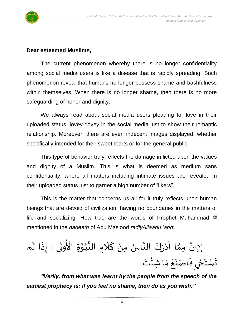



#### **Dear esteemed Muslims,**

The current phenomenon whereby there is no longer confidentiality among social media users is like a disease that is rapidly spreading. Such phenomenon reveal that humans no longer possess shame and bashfulness within themselves. When there is no longer shame, then there is no more safeguarding of honor and dignity.

We always read about social media users pleading for love in their uploaded status, lovey-dovey in the social media just to show their romantic relationship. Moreover, there are even indecent images displayed, whether specifically intended for their sweethearts or for the general public.

This type of behavior truly reflects the damage inflicted upon the values and dignity of a Muslim. This is what is deemed as medium sans confidentiality, where all matters including intimate issues are revealed in their uploaded status just to garner a high number of "likers".

This is the matter that concerns us all for it truly reflects upon human beings that are devoid of civilization, having no boundaries in the matters of life and socializing. How true are the words of Prophet Muhammad  $\ddot{\ddot{\bf s}}$ mentioned in the *hadeeth* of Abu Mas'ood *radiyAllaahu 'anh*:

إِدِنَّ مِمَّا أَدْرَكَ النَّاسُ مِنْ كَلَامِ النُّبُوَّةِ الْأُولَى : إِذَا لَمْ ْ  $\tilde{\mathbf{r}}$  $\ddot{\cdot}$  $\ddot{\phantom{0}}$ ُ ْ نَّ مِمَّا أَدْرَكَ النَّاسُ مِنْ كَلَامِ النُّبُوَّةِ الْأُ ر<br>^ ُ ُ<br>منابع<br>منابع  $\sum_{i=1}^{n}$  $\frac{1}{2}$ ์<br>-<br>-ْ .<br>.  $\tilde{\tilde{}}$ َ<br>و  $\ddot{\phantom{0}}$ ؙ<br>۠  $\ddot{\cdot}$ ั<br>ด َ י<br>י تَسْتَحْيِ فَاصْنَعْ مَا شِئْتَ  $\ddot{\phantom{0}}$  $\ddot{\phantom{0}}$  $\zeta$ َ ់<br>:  $\frac{1}{2}$ ֦֧<u>֦</u>  $\ddot{\phantom{0}}$  $\ddot{\cdot}$ 

*"Verily, from what was learnt by the people from the speech of the earliest prophecy is: If you feel no shame, then do as you wish."*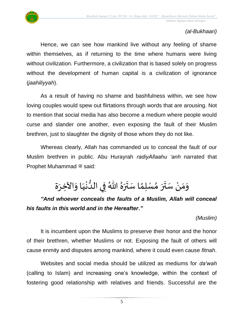

# *(al-Bukhaari)*

Hence, we can see how mankind live without any feeling of shame within themselves, as if returning to the time where humans were living without civilization. Furthermore, a civilization that is based solely on progress without the development of human capital is a civilization of ignorance (*jaahiliyyah*).

As a result of having no shame and bashfulness within, we see how loving couples would spew out flirtations through words that are arousing. Not to mention that social media has also become a medium where people would curse and slander one another, even exposing the fault of their Muslim brethren, just to slaughter the dignity of those whom they do not like.

Whereas clearly, Allah has commanded us to conceal the fault of our Muslim brethren in public. Abu Hurayrah *radiyAllaahu 'anh* narrated that Prophet Muhammad  $\ddot{\text{m}}$  said:

#### وَمَنْ سَتَرَ مُسْلِمًا سَتَرَهُ اللّهُ فِي الدُّنْيَا وَالآخِرَة  $\frac{1}{2}$  $\tilde{\phantom{a}}$  $\frac{1}{1}$ ْ  $\frac{3}{1}$ ्  $\ddot{\phantom{0}}$ بة<br>أ  $\frac{1}{\alpha}$ ๋<br>ጎ ्<br>स  $\ddot{\phantom{0}}$ بة<br>أ ْ  $\frac{1}{2}$  $\frac{1}{2}$

*"And whoever conceals the faults of a Muslim, Allah will conceal his faults in this world and in the Hereafter."*

*(Muslim)*

It is incumbent upon the Muslims to preserve their honor and the honor of their brethren, whether Muslims or not. Exposing the fault of others will cause enmity and disputes among mankind, where it could even cause *fitnah*.

Websites and social media should be utilized as mediums for *da'wah* (calling to Islam) and increasing one's knowledge, within the context of fostering good relationship with relatives and friends. Successful are the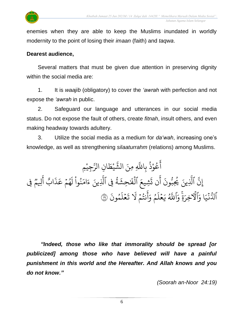

enemies when they are able to keep the Muslims inundated in worldly modernity to the point of losing their *imaan* (faith) and *taqwa*.

#### **Dearest audience,**

Several matters that must be given due attention in preserving dignity within the social media are:

1. It is *waajib* (obligatory) to cover the *'awrah* with perfection and not expose the *'awrah* in public.

2. Safeguard our language and utterances in our social media status. Do not expose the fault of others, create *fitnah*, insult others, and even making headway towards adultery.

3. Utilize the social media as a medium for *da'wah*, increasing one's knowledge, as well as strengthening *silaaturrahm* (relations) among Muslims.

ِّم ِّجي **ٔ** ِ<br>سَ ِّن الر ا  $\tilde{\cdot}$ يْطَ **ٔ** بر<br>په لَّهِ مِنَ الشَّ عُوْذُ بِاللَّهِ و<br>ڊ ْ و<br>م ِ<br>ج أ ِ<br>پَ إِنَّ ٱلَّذِينَ لَّذِينَ  $\tilde{\cdot}$ ِّشيع  $\ddot{\cdot}$ ن ت .<br>؟ أ أ ون و<br>س يُجِبُّونَ أَن تَشِيعَ الفَـٰحِشَةَ و ور<br>د  $\tilde{\mathbf{r}}$ ِّحش َٰ  $\tilde{\cdot}$ لۡفَـٰحِشَةُۚ فِى ٱلَّذِينَ ہ<br>1 لَّذِينَ ءَامَنُوا لَهُمْ عَذَابٌ الِّيمُ فِی وو<br>م لِيَّع ِ<br>ج أ § اب  $\ddot{\cdot}$ ذ ِ<br>م ھُمۡ عَـ  $\frac{1}{2}$ و<br>م ِ<br>ا ل ْ نموا ُ ِ<br>م ام ر<br>ء ء الدَّنَّيَا ِ جر<br>نبي  $\ddot{\cdot}$ و<br>لسا لدَّ َ<br>َء وَٱلۡٱخِرَةِ لأخِرَ .<br>ه وَّا ِ<br>په و للَّهُ .<br>\* مُونَ و َ ل ع  $\frac{1}{2}$  $\ddot{\cdot}$ ت َ ل م نت  $\frac{1}{2}$ و<br>به ۔<br>بح أ ِ<br>ہ م وَ و ِ<br>ا ل ع  $\frac{1}{2}$ ِرِ يَعْلَمُ وَأَنْتُمْ لَا تَعْلَمُونَ ۞

*"Indeed, those who like that immorality should be spread [or publicized] among those who have believed will have a painful punishment in this world and the Hereafter. And Allah knows and you do not know."*

*(Soorah an-Noor 24:19)*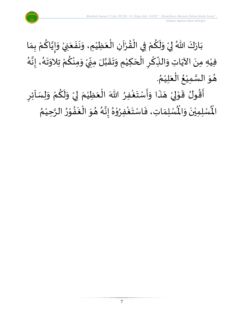

بَارَكَ اللّهُ لِيْ وَلَكُمْ فِي الْقُرْآنِ الْعَظِيْمِ، وَنَفَعَنِيْ وَإِيَّاكُمْ بِمَا  $\frac{1}{2}$  $\ddot{\ }$ ْ َ  $\ddot{\phantom{0}}$  $\ddot{\phantom{0}}$  $\frac{1}{2}$ ់<br>(  $\ddot{\phantom{0}}$ ֦֧֦֧֦֦֧֝<u>֦</u> ْ  $\frac{1}{2}$ ֦֧֦֧֦֧֦֧֦֧֧֦֧֧֧֝֝֝֜֟֓֓֟֓֟֓֟֓֟֓֟֓֟֓֟֓֟֓֟֓֟֓֟֓֟֓֟֓֟֓֟֓֟֓֝֟֓֟֓֟֓֟֓֝֬֟ ْ ِ<br>م  $\tilde{\mathbf{r}}$  $\tilde{\phantom{a}}$ ْ  $\frac{1}{2}$ ْ <u>ل</u> َ —<br>)<br>)  $\frac{1}{2}$ د<br>گر فيْهِ مِنَ الآيَاتِ وَالنِّكْرِ الْحَكِيْمِ وَتَقَبَّلَ مِنِّيْ وَمِنْكُمْ تِلاَوَتَهُ، إِنَّهُ े<br>इ  $\frac{1}{2}$ د<br>گ  $\frac{1}{2}$  $\ddot{\phantom{0}}$ ّ<br>م <u>ل</u> ْ  $\frac{1}{2}$ ْ י<br>ִי  $\sum$ ن<br>ا  $\frac{1}{2}$  $\ddot{\phantom{0}}$  $\frac{1}{2}$ ់<br>រ  $\overline{\phantom{a}}$ ا<br>ا  $\overline{\phantom{a}}$ ْ  $\ddot{\cdot}$ ۔<br>م ِ<br>پُ  $\ddot{\phantom{0}}$ ់<br>រ . ُ هُوَ السَّمِيْعُ الْعَلِيْمُ ំ<br>រ  $\ddot{\phantom{0}}$ ֚֝֟<br>֧֝֟֓֟֓֟֓֟֓֟֓֟֓֟֓֟֓֟֓֟֓֟֓֟֓֟֓֟֩֓֟֓֟֩֓֟֓֟֓֟֓֟֓֟֓֟֩֩֓ ُ ់<br>រ ن<br>سا<br>سا  $\ddot{\phantom{0}}$  $\frac{1}{2}$ 

 $\frac{1}{2}$ أَقُولُ قَوْلِيْ هَذَا وَأَسْتَغْفِرُ اللّٰهَ الْعَظِيْمَ لِيْ وَلَكُمْ وَلِسَاْئِرِ ْ َ ֦֧֦֧֦֦֧֝<u>֦</u> ُْ  $\ddot{\phantom{0}}$  $\frac{1}{2}$  $\frac{1}{2}$ ै।<br>र  $\overline{\phantom{a}}$ ْ إ ֦֧֦֝<br>**֧**  $\frac{1}{2}$  $\frac{1}{2}$ ं<br>इ  $\overline{\phantom{a}}$  $\frac{1}{2}$ ْ <u>بر</u>  $\tilde{\cdot}$  $\frac{1}{2}$ ْ إ ፟<br>፞ ري<br>لْمُسْلِمَاتِ، فَاسْتَغْفِرُوْهُ إِنَّهُ هُوَ الْغَفُوْرُ الرَّحِيْمُ ំ<br>រ ن<br>پ  $\frac{1}{\lambda}$ י<br>י **••**<br>•••  $\frac{1}{2}$ ا<br>أ  $\ddot{\ }$  $\frac{1}{2}$ ر<br>پر  $\ddot{\vec{r}}$  $\frac{1}{2}$ ፟<br>፞ י<br>י ِ<br>پ ا<br>م  $\frac{1}{2}$  $\ddot{\cdot}$  $\frac{1}{2}$ رت<br>لْمُسْلِمِيْنَ وَالْمُ  $\ddot{\phantom{0}}$  $\ddot{\phantom{0}}$ ْ اْل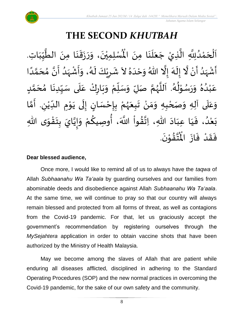

# **THE SECOND** *KHUTBAH*

لْمُسْلِمِيْنَ، وَرَزَقَنَا مِنَ الطَّيِّبَاتِ  $\frac{1}{1}$ しんこ  $\frac{1}{2}$ ل<br>محمد<br>ا  $\ddot{\phantom{0}}$  $\ddot{\phantom{0}}$  $\frac{1}{2}$  $\ddot{\phantom{0}}$  $\ddot{\phantom{0}}$  $\frac{1}{2}$  $\ddot{\phantom{0}}$ ْ اَلْحَمْدُلِلَّهِ الَّذِيْ جَعَلَنَا مِنَ الْمُسْلِمِيْنَ، وَرَزَقَنَا مِنَ الطَّيِّبَاتِ.  $\ddot{\phantom{0}}$  $\ddot{\phantom{0}}$ ِ<br>ا َ  $\overline{\phantom{a}}$ ل<br>ا ن<br>ا <br>ا ْ  $\overline{\phantom{a}}$ ֦֧֦֧֦֧֦֧֦֧֦֧֦֧֧֦֧֧֝֟֓֓֓֜֓֟֓֜֓֓<u>֖֓֝</u>  $\frac{1}{2}$ ्<br>र أَشْهَدُ أَنْ لَّا إِلَهَ إِلَّا اللّهُ وَحْدَهُ لاَ شَرِيْكَ لَهُ، وَأَشْهَدُ أَنَّ مُحَمَّدًا ْ  $\ddot{\mathbf{z}}$  $\frac{1}{\sqrt{2}}$ َ<br>زار<br>ما ْ  $\sum_{i=1}^{n}$ ِ<br>ِ  $\tilde{\cdot}$  $\frac{1}{2}$ ل<br>مجموع  $\ddot{\phantom{0}}$ ِ<br>پ  $\overline{\phantom{a}}$  $\frac{1}{2}$ ً<br>ا ี้<br>ส ं<br>- $\frac{1}{2}$  $\frac{1}{2}$ ا<br>: <br>ا  $\frac{1}{2}$ ْ  $\frac{1}{2}$  $\frac{1}{2}$ ر<br>گ  $\ddot{\phantom{0}}$ ْ  $\sum$  $\frac{1}{2}$ عَبْدُهُ وَرَسُوْلُهُ. اَللَّهُمَّ صَلِّ وَسَلِّمْ وَبَارِكْ عَلَى سَيِّدِنَا مُحَمَّدٍ  $\mathbf{r}$ ั<br>ั  $\overline{\phantom{a}}$ ๋<br>ጎ **ृ** ِّ しんけい ۔ $\frac{1}{1}$ ِ<br>م ّ<br>وُ  $\ddot{\phantom{0}}$ بر<br>م ْ ِّ  $\overline{L}$  $\frac{1}{2}$ ี<br>จ ر<br>ر<br>ر ہ<br>ا م<br>آ ر<br>گ ء<br>ا≉ י<br>י ُ<br>ُ  $\frac{1}{2}$  $\frac{1}{2}$ بر<br>▲ .<br>د ់<br>រ ِ<br>م وَعَلَى آلِهِ وَصَحْبِهِ وَمَنْ تَبِعَهُمْ بِإِحْسَانٍ إِلَى يَوْمِ الدِّيْنِ. أَمَّا  $\overline{\mathbf{1}}$  $\frac{1}{2}$  $\tilde{\cdot}$ ี<br>วั َ لي ់<br>• ِّ  $\ddot{\phantom{0}}$ י<br>י  $\ddot{\phantom{0}}$  $\ddot{\phantom{0}}$ ل  $\frac{1}{2}$ )<br>=<br>= ֦֧֦֧֦֧<u>֦</u>  $\ddot{\cdot}$ ْ ر<br>ر<br>ر  $\ddot{\phantom{0}}$  $\ddot{\phantom{0}}$ ْ ์ $\frac{1}{2}$  $\frac{1}{2}$ ْ  $\frac{1}{1}$ -<br>بَعْدُ، فَيَا عِبَادَ اللهِ، اِتَّقُواْ اللَّهَ، أُوصِيكُمْ وَإِيَّايَ بِتَقْوَى اللهِ  $\frac{1}{2}$ ُ<br>ُ' ំ<br>ស្  $\ddot{\phantom{0}}$  $\ddot{\ }$ ֦֧֦֧֦֧֝<u>֦</u>  $\ddot{\phantom{0}}$  $\ddot{\cdot}$ **تا**<br>• —<br>-<br>-<br>- $\frac{1}{2}$ ْ **∕**<br>م ُ<br>په<br>پنجاب نہ<br>ا  $\frac{1}{2}$  $\frac{1}{2}$  $\ddot{\phantom{0}}$  $\frac{1}{1}$ .  $\ddot{\phantom{0}}$ تقۇنَ ֦֧֦֦֧֦֦֦֧֦֝֝֟֓<br>**֧**  $\frac{1}{2}$ ِ<br>ئى<br>ب  $\frac{1}{\sqrt{2}}$ فَقَدْ فَازَ الْمُ  $\ddot{\phantom{0}}$  $\ddot{\cdot}$ ْ  $\frac{1}{2}$  $\frac{1}{2}$ 

#### **Dear blessed audience,**

Once more, I would like to remind all of us to always have the *taqwa* of Allah *Subhaanahu Wa Ta'aala* by guarding ourselves and our families from abominable deeds and disobedience against Allah *Subhaanahu Wa Ta'aala*. At the same time, we will continue to pray so that our country will always remain blessed and protected from all forms of threat, as well as contagions from the Covid-19 pandemic. For that, let us graciously accept the government's recommendation by registering ourselves through the *MySejahtera* application in order to obtain vaccine shots that have been authorized by the Ministry of Health Malaysia.

May we become among the slaves of Allah that are patient while enduring all diseases afflicted, disciplined in adhering to the Standard Operating Procedures (SOP) and the new normal practices in overcoming the Covid-19 pandemic, for the sake of our own safety and the community.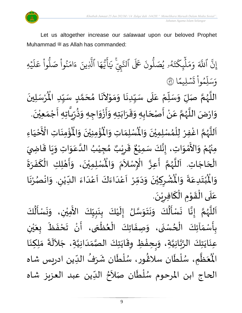



Let us altogether increase our *salawaat* upon our beloved Prophet Muhammad صلى الله عليه وسلم as Allah has commanded:

ِ<br>پ إِنَّ ا ِ<br>آک للَّهَ وَمَلْيِكْتَهُ و<br>لم  $\ddot{\cdot}$ ت ر<br>م ِّك ئ بر<br>ا  $\uplambda$ ر<br>م بر<br>م ر<br>م وَمَلَٰٓئٍكَتَهُۥ يُصَلُّونَ عَلَى ون و<br>ا يُصَلُّونَ عَلَى ٱلنَّبِيِّ و<br>د  $\overline{\phantom{a}}$ َٰ لتَّبِّيِّ ِ<br>بر يَايَّهَا ر<br>م ه و<br>ما سَ<br>ڊ ِ<br>ج أَيَّهَا ٱلَّذِينَ یہ<br>1 لَّذِينَ ءَامَنُوا صَلُوا عَلَيْهِ ؚ<br>ٛ ر<br>آ  $\uplambda$ ِ<br>م ع وا ْ و<br>ا نُواْ صَلُّ ْ و<br>ڊ ِرِ ام ्<br>द ء ا  $\frac{2}{\lambda}$ ن*َسْ*لِيمً  $\ddot{\phantom{0}}$  $\ddot{\cdot}$ ت <u>ہ</u> وا ِّم و<br>م ں<br>ا ل ِ<br>س وَسَلِّمُواْ تَسْلِيمًا (َ ُ

اللَّهُمَّ صَلِّ وَسَلِّمْ عَلَى سَيِّدِنَا وَمَوْلاَنَا مُحَمَّدٍ سَيِّدِ الْمُرْسَلِينَ  $\ddot{\phantom{0}}$ ْ  $\mathbf{r}^{\circ}$ للَّهُمَّ صَلِّ وَسَلِّمْ عَلَى سَيِّدِنَا وَمَوْلاَنَا مُحَمَّدٍ سَيِّدِ الْمُرْسَلِينَ ِّ しんけい <u>لم</u> ี<br>ั<br>ุก  $\overline{\phantom{a}}$ ๋<br>ጎ  $\mathbf{r}$  $\tilde{\phantom{a}}$ י<br>י  $\frac{1}{2}$  $\frac{1}{2}$  $\ddot{\phantom{0}}$ ِّ  $\overline{\phantom{a}}$ ِ<br>م ْ ِ<br>ِّ  $\overline{L}$  $\frac{1}{2}$ ี<br>จ ر<br>ر<br>ر ہ<br>ا ़<br>-<br>• وَارْضَ اللَّهُمَّ عَنْ أَصْحَابِهِ وَقَرَابَتِهِ وَأَزْوَاجِهِ وَذُرِّيَّاتِهِ أَجْمَعِيْنَ. ْ  $\frac{1}{2}$ ֦֧֦֧֦֧<u>֦</u> -<br>:<br>: ً<br>ق  $\frac{1}{2}$ ر ءِ<br>په  $\frac{1}{2}$  $\frac{1}{2}$ ່<br>: ֧֪֪֪֧֧֧֧֓֝֬֝֝֝֟֓֝֬֝֓֝֓֝֬֝֓֝֬֝֓֝֬֝֓֝<br>֧֪֪֝֝֝֝֟׆֧֛  $\frac{1}{2}$  $\ddot{\phantom{0}}$  $\frac{1}{2}$  $\frac{1}{2}$ ์  $\overline{\phantom{a}}$ ا<br>:<br>: ْ  $\frac{1}{2}$ ن<br>پ ر<br>ر ِ<br>آ  $\tilde{\cdot}$ ؙۏ۠ۄٮؘؘاتؚ  $\ddot{\phantom{0}}$ ْ<br>ئا  $\tilde{\mathbf{r}}$ ُؤْمِنِيْنَ وَالْمُ  $\frac{1}{2}$  $\ddot{\phantom{0}}$ ْ ؚ<br>پا ُْ ِ<br>لْمُسْلِمَاتِ وَالْمُ  $\frac{1}{2}$  $\frac{1}{2}$ اَللَّهُمَّ اغْفِرْ لِلْمُسْلِمِيْنَ وَالْمُسْلِمَاتِ وَالْمُؤْمِنِيْنَ وَالْمُؤْمِنَاتِ  $\tilde{\cdot}$  $\ddot{\phantom{0}}$ ْ ›<br>ለ ់<br>**រ** ِ<br>و ี้<br>ถึ ر<br>ر<br>ر ہ<br>آ َ َ مَ<br>مع الْأَحْيَاءِ  $\frac{1}{1}$ ْ ْ مِنْهُمْ وَالأَمْوَاتِ، إِنَّكَ سَمِيْعٌ قَرِيْبٌ مُجِيْبُ ُ<br>وُرُ ْ  $\ddot{\ }$ ់<br>ភ  $\frac{1}{2}$  $\frac{1}{2}$ ُ ْ  $\frac{1}{2}$ ه<br>**د ا** ي ر ق  $\sum$ ر<br>پو ٌ ، إِنَّكَ سَمِيْعٌ قَرِيْبٌ مُجِيْبُ الدَّعَوَاتِ وَيَا قَاضِيَ ْ ्<br>द<br>:  $\frac{1}{2}$  $\frac{1}{2}$  $\ddot{\mathbf{r}}$  $\ddot{\phantom{0}}$  $\tilde{\cdot}$  $\ddot{\ }$ ِ<br>م ہ<br>ا الْحَاجَاتِ. اَللَّهُمَّ أَعِزَّ الْإِسْلاَمَ وَ  $\overline{\phantom{a}}$ ۔<br>∤  $\frac{1}{1}$ ر<br>آ ر<br>ر<br>ر ี<br>จั  $\frac{1}{2}$  $\frac{1}{2}$ .<br>ا∤ ِ<br>ِ .<br>^  $\tilde{\cdot}$  $\bar{\ddot{\cdot}}$ الْمُسْلِمِيْنَ، وَأَهْلِكِ الْكَفَرَةَ ؙ<br>; ْ ي  $\ddot{\phantom{0}}$ **]∗**  $\frac{1}{2}$  $\frac{1}{2}$ َ ْ י<br>**י** ر<br>بن  $\tilde{\cdot}$ ُشْرِكِيْنَ وَدَمِّرْ اَعْدَاءَكَ اَعْدَاءَ اللِّيْنِ. وَانْصُرْنَا ر<br>.<br>. ْ ُمُ<br>م ْ  $\tilde{\cdot}$ لي ْ ِّ  $\frac{1}{2}$ ہ<br>د ّ<br>م  $\frac{1}{2}$ َ<br>و  $\frac{1}{2}$  $\frac{1}{1}$ ْ<br>م  $\overline{\phantom{a}}$ ֧֦֧֦֧֦֧<br>**֧**  $\frac{1}{2}$  $\sim$  $\frac{1}{2}$ ا<br>•<br>• ْ  $\overline{\phantom{a}}$ ْ  $\ddot{\hat{}}$ ُبْتَدِعَةً وَالْمُ  $\frac{1}{2}$  $\ddot{\cdot}$  $\frac{1}{2}$  $\ddot{\phantom{0}}$ ْ<br>ْ  $\ddot{\hat{}}$ اْل و  $\tilde{\cdot}$ .  $\ddot{\phantom{}}$ عَلَى الْقَوْمِ الْكَافِرِيْنَ ْ  $\overline{\phantom{a}}$ ∶<br>∽ `<br>ا  $\ddot{\phantom{0}}$ ֦֧֦֧֦֧<u>֦</u> الہ<br>معا ֫<br>֟֟**֝** ์ $\overline{\phantom{a}}$  $\frac{1}{2}$ 

 $\frac{1}{2}$ ل<br>اَللَّهُمَّ إِنَّا نَسْأَلُكَ وَنَتَوَسَّلُ إِلَيْكَ بِنَبِيِّكَ الأَمِيْنِ، وَنَسْأَلُكَ  $\frac{1}{2}$ ี<br>ถ ر<br>ر<br>ر ً<br>ا  $\overline{\phantom{a}}$ ِّ  $\frac{1}{2}$ ا<br>با  $\ddot{\phantom{0}}$  $\ddot{\cdot}$ ْ  $\mathbf{r}$  $\frac{1}{2}$ ن<br>سا  $\ddot{\ }$  $\ddot{\phantom{0}}$  $\ddot{\phantom{0}}$  $\frac{1}{2}$ ُ<br>الج َ  $\ddot{\phantom{0}}$  $\tilde{\epsilon}$ ُ<br>ا∲  $\ddot{\phantom{0}}$  $\ddot{\phantom{0}}$  $\frac{1}{2}$ ْ  $\ddot{\phantom{0}}$ .<br>بِأَسْمَآئِكَ الْحُسْنَى، وَصِفَاتِكَ الْعُظُمَى، أَنْ تَحْفَظَ بِعَيْنِ ِّدِ ֦֧֧֦֧֦֧֦֧֦֧֦֧֧֦֧֦֧֦֧֦֧֦֧֦֧֟֝֟֓֟֓֟֓֜֓֟֓֟֓֓֟֓֟֓<br>**֧**  $\frac{1}{2}$ َ <u>ر</u><br>- $\frac{1}{2}$ ر<br>م }<br>• ֦֧֦֧֦֧֝<u>֦</u>  $\ddot{\cdot}$  $\frac{1}{2}$ ْ ي  $\frac{1}{2}$ ر<br>م  $\ddot{\cdot}$  $\frac{1}{2}$ ْ  $\sum_{i=1}^{n}$ ِ<br>عِنَايَتِكَ الرَّبَّانِيَّةِ، وَبِحِفْظِ وِقَايَتِكَ الصَّمَدَانِيَّةِ، جَلاَلَةَ مَلِكِنَا ن<br>ا ہ<br>تہ<br>• ہ<br>پ  $\ddot{\phantom{0}}$  $\ddot{\phantom{0}}$  $\sim$ ن<br>ا  $\frac{1}{1}$  $\frac{1}{2}$ ر<br>ر<br>ر  $\frac{1}{2}$ ا<br>پو ֞**֚**  $\frac{1}{2}$  $\tilde{\cdot}$  $\ddot{\cdot}$ ِ<br>آباد  $\ddot{\phantom{0}}$  $\frac{1}{2}$ ؙعۡظٌمٖ ے<br>تا َ ر<br>مو الْمُعَظَّمِ، سُلْطَان سلَاڠُور، سُلْطَان شَرَفُ الدِّين ادريس شاه م<br>م ا<br>ا }<br>፟**፟**  $\frac{1}{1}$ ُ  $\mathbf{r}$ ر<br>م ٝ<br>ا .<br>م  $\sim$ الحاج ابن المرحوم سُلْطَان صَلاَحُ الدِّين عبد العزيز شاه `<br>أ ا<br>ا ُ<br>ُ  $\frac{1}{2}$ <sup>}</sup>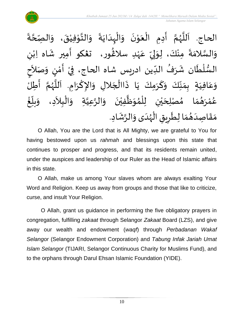

 $\ddot{\cdot}$ ة **ี**<br>ร ة<br>ح صِّ الحاج. اَللَّهُمَّ أَدِمِ الْعَوْنَ وَالْبِدَايَةَ وَالتَّوْفِيْقَ، وَال  $\frac{1}{2}$  $\ddot{\phantom{0}}$ ٝ<br>ؙ י<br>י  $\frac{1}{2}$  $\frac{1}{2}$  $\ddot{\cdot}$  $\ddot{\phantom{0}}$  $\frac{1}{1}$ ֦֧֦֧֦֧֝<u>֦</u>  $\frac{1}{2}$  $\ddot{\phantom{0}}$ י<br>י  $\frac{1}{2}$ ֦֧֦֧֧֧֧֧֧֟֟֓֟֓֟֓֟֓֟֓֟֓֟֓֟֓֟֓֟֓֟֓֟֓֟֓֟֓֟֓֟֓֟֓֟֩֕֟֓֟֓֝֟֓֟֓֝֟֓֟֓֝֟֓֝֬֟  $\ddot{\phantom{0}}$  $\sum_{i=1}^{n}$ ี<br>จั ر<br>ر<br>ر ہ<br>آ َ ى<br>وَالسَّلامَةَ مِنْكَ، لِوَلِيِّ عَهْدِ سلاغُور، ت**ڠك**و أَمِير شَاه اِبْنِ ٝ<br>ۣ<br>ؙ ِ<br>م ِّ  $\frac{1}{2}$ إ  $\frac{1}{2}$ ْ  $\ddot{\cdot}$  $\frac{1}{2}$ ن<br>س  $\frac{1}{2}$ ر<br>شم  $\frac{1}{2}$ َ ٝ<br>ؙ السُّلْطَان شَرَفُ الدِّين ادريس شاه الحاج، فِيْ أَمْنٍ وَصَلاَحِ ِّ ُ  $\frac{1}{2}$  $\ddot{\phantom{0}}$ ْ  $\frac{3}{4}$  $\frac{1}{2}$ ْ  $\tilde{\phantom{a}}$  $\frac{1}{2}$ <u>رِ</u> ์<br>ำ ..<br>:<br>: ।<br>ज حِ بِمَنِّكَ وَكَرَمِكَ يَا ذَاالْجَلالِ وَالإِكْرَامِ. اَللَّهُمَّ أَطِلُ ا<br>:<br>: ์<br>ถ .<br>پر<br>ر ب<br>تا َ  $\ddot{\phantom{0}}$ ا<br>با  $\tilde{\cdot}$  $\overline{\phantom{a}}$ ֦֧֧֦֧֦֧֦֧֦֧֦֧֦֧֦֧֦֧֦֧֧֦֧֟֝֟֓֟֓֓֝֟֓֜֓֟֓<br>**֧**  $\ddot{\cdot}$  $\ddot{\phantom{0}}$ َ  $\tilde{\cdot}$ ِّ<br>ِ∙  $\frac{1}{2}$  $\sum_{i=1}^{n}$  $\frac{1}{1}$  في  $\overline{\mathsf{L}}$ ِ<br>م ع  $\ddot{\ }$ و  $\tilde{\phantom{a}}$ الْبِلاَدِ، وَ ֦֧֦֧֦֧֝<u>֦</u> ا<br>ا .<br>ﺎ ﻣُﺼْﻠِﺤَﻴْﻦِ ﻟِﻠْﻤُﻮَڟَّﻔِﻴْﻦَ ﻭَﺍﻟـﺮَّﻋِﻴَّﺔِ ﻭَ ្វ<br>វ ہ<br>پ ์ $\tilde{\cdot}$  $\ddot{\phantom{0}}$ ْ  $\tilde{\mathbf{r}}$  $\frac{1}{2}$ ›<br>ለ ់<br>( ់<br> ي  $\overline{\phantom{a}}$  $\frac{1}{2}$  $\frac{1}{\lambda}$ م ़<br>ै و<br>گھ رَ ْ ه<br>لم ر<br>م ع ໍ່<br>່ غ ِّ<br>ا  $\frac{1}{2}$ بلاً  $\tilde{\cdot}$ ا<br>م مَقَاصِدَهُمَا لِطَرِيقِ الْهُدَى وَالرَّشَادِ.  $\frac{1}{2}$ ُ  $\frac{1}{1}$  $\frac{1}{2}$  $\frac{1}{2}$  $\frac{1}{1}$ ر<br>ر<br>ر ֦֧֦֧֦֧֝<u>֦</u>  $\overline{\phantom{a}}$ .<br>په  $\tilde{\cdot}$ 

O Allah, You are the Lord that is All Mighty, we are grateful to You for having bestowed upon us *rahmah* and blessings upon this state that continues to prosper and progress, and that its residents remain united, under the auspices and leadership of our Ruler as the Head of Islamic affairs in this state.

O Allah, make us among Your slaves whom are always exalting Your Word and Religion. Keep us away from groups and those that like to criticize, curse, and insult Your Religion.

O Allah, grant us guidance in performing the five obligatory prayers in congregation, fulfilling *zakaat* through Selangor *Zakaat* Board (LZS), and give away our wealth and endowment (*waqf*) through *Perbadanan Wakaf Selangor* (Selangor Endowment Corporation) and *Tabung Infak Jariah Umat Islam Selangor* (TIJARI, Selangor Continuous Charity for Muslims Fund), and to the orphans through Darul Ehsan Islamic Foundation (YIDE).